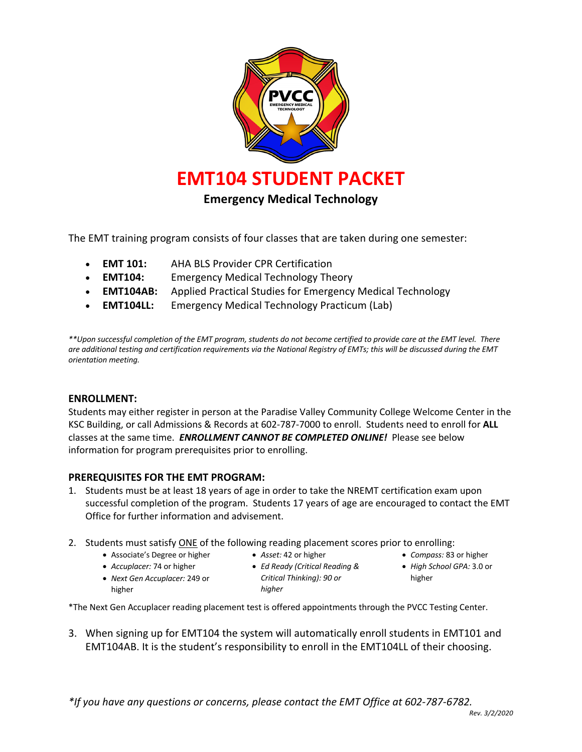

The EMT training program consists of four classes that are taken during one semester:

- **EMT 101:** AHA BLS Provider CPR Certification
- **EMT104:** Emergency Medical Technology Theory
- **EMT104AB:** Applied Practical Studies for Emergency Medical Technology
- **EMT104LL:** Emergency Medical Technology Practicum (Lab)

*\*\*Upon successful completion of the EMT program, students do not become certified to provide care at the EMT level. There are additional testing and certification requirements via the National Registry of EMTs; this will be discussed during the EMT orientation meeting.*

#### **ENROLLMENT:**

Students may either register in person at the Paradise Valley Community College Welcome Center in the KSC Building, or call Admissions & Records at 602-787-7000 to enroll. Students need to enroll for **ALL**  classes at the same time. *ENROLLMENT CANNOT BE COMPLETED ONLINE!* Please see below information for program prerequisites prior to enrolling.

#### **PREREQUISITES FOR THE EMT PROGRAM:**

- 1. Students must be at least 18 years of age in order to take the NREMT certification exam upon successful completion of the program. Students 17 years of age are encouraged to contact the EMT Office for further information and advisement.
- 2. Students must satisfy ONE of the following reading placement scores prior to enrolling:
	- Associate's Degree or higher
- *Asset:* 42 or higher
- *Accuplacer:* 74 or higher
- 
- *Next Gen Accuplacer:* 249 or higher
- *Ed Ready (Critical Reading & Critical Thinking): 90 or higher*
- *Compass:* 83 or higher
- *High School GPA:* 3.0 or higher
- \*The Next Gen Accuplacer reading placement test is offered appointments through the PVCC Testing Center.
- 3. When signing up for EMT104 the system will automatically enroll students in EMT101 and EMT104AB. It is the student's responsibility to enroll in the EMT104LL of their choosing.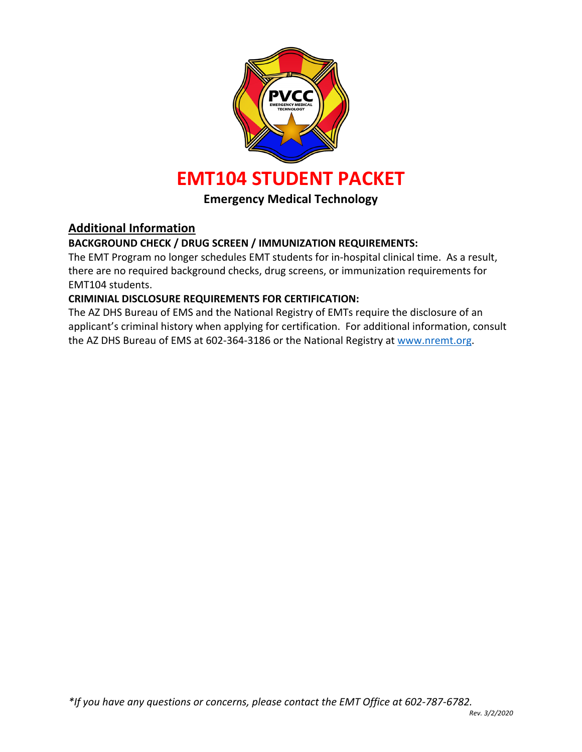

# **Emergency Medical Technology**

## **Additional Information**

## **BACKGROUND CHECK / DRUG SCREEN / IMMUNIZATION REQUIREMENTS:**

The EMT Program no longer schedules EMT students for in-hospital clinical time. As a result, there are no required background checks, drug screens, or immunization requirements for EMT104 students.

## **CRIMINIAL DISCLOSURE REQUIREMENTS FOR CERTIFICATION:**

The AZ DHS Bureau of EMS and the National Registry of EMTs require the disclosure of an applicant's criminal history when applying for certification. For additional information, consult the AZ DHS Bureau of EMS at 602-364-3186 or the National Registry at www.nremt.org.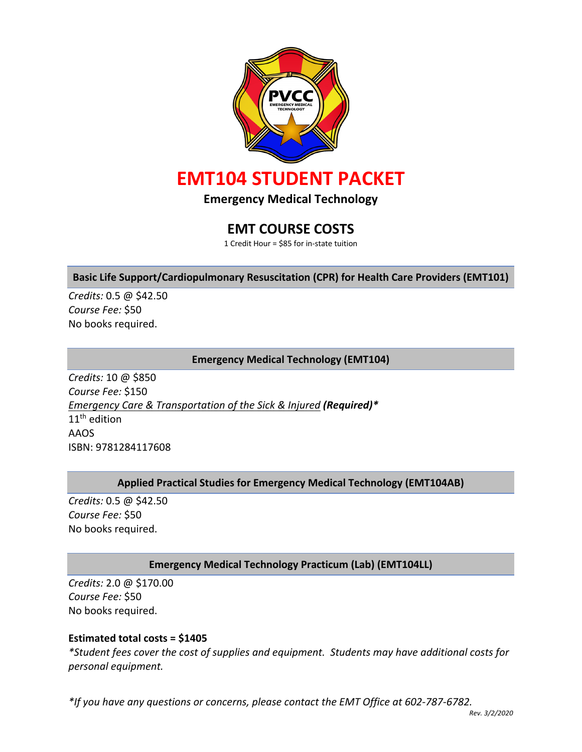

**Emergency Medical Technology**

# **EMT COURSE COSTS**

1 Credit Hour = \$85 for in-state tuition

### **Basic Life Support/Cardiopulmonary Resuscitation (CPR) for Health Care Providers (EMT101)**

*Credits:* 0.5 @ \$42.50 *Course Fee:* \$50 No books required.

#### **Emergency Medical Technology (EMT104)**

*Credits:* 10 @ \$850 *Course Fee:* \$150 *Emergency Care & Transportation of the Sick & Injured (Required)\** 11<sup>th</sup> edition AAOS ISBN: 9781284117608

### **Applied Practical Studies for Emergency Medical Technology (EMT104AB)**

*Credits:* 0.5 @ \$42.50 *Course Fee:* \$50 No books required.

### **Emergency Medical Technology Practicum (Lab) (EMT104LL)**

*Credits:* 2.0 @ \$170.00 *Course Fee:* \$50 No books required.

#### **Estimated total costs = \$1405**

*\*Student fees cover the cost of supplies and equipment. Students may have additional costs for personal equipment.*

*\*If you have any questions or concerns, please contact the EMT Office at 602-787-6782.*